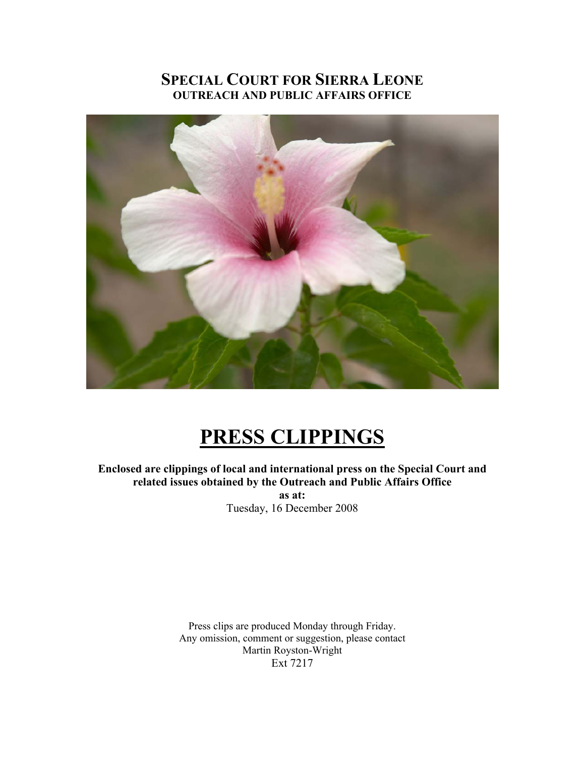## **SPECIAL COURT FOR SIERRA LEONE OUTREACH AND PUBLIC AFFAIRS OFFICE**



# **PRESS CLIPPINGS**

**Enclosed are clippings of local and international press on the Special Court and related issues obtained by the Outreach and Public Affairs Office** 

**as at:**  Tuesday, 16 December 2008

Press clips are produced Monday through Friday. Any omission, comment or suggestion, please contact Martin Royston-Wright Ext 7217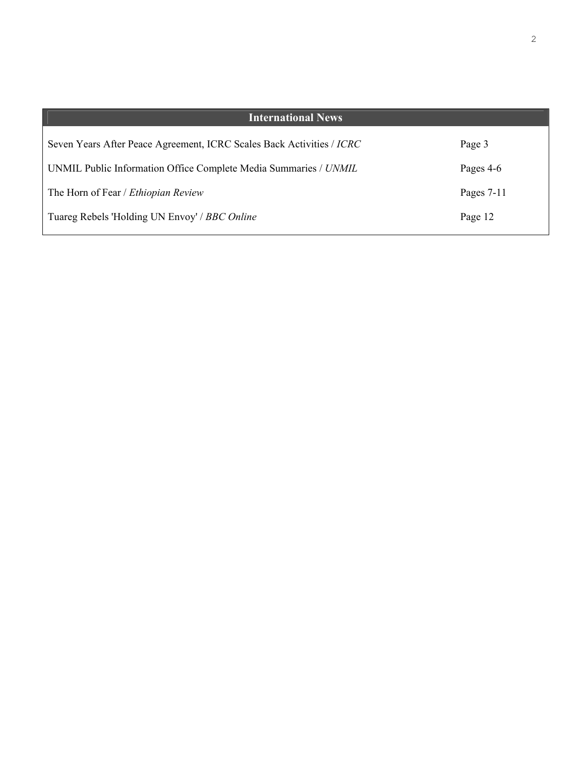| <b>International News</b>                                             |              |
|-----------------------------------------------------------------------|--------------|
| Seven Years After Peace Agreement, ICRC Scales Back Activities / ICRC | Page 3       |
| UNMIL Public Information Office Complete Media Summaries / UNMIL      | Pages 4-6    |
| The Horn of Fear / <i>Ethiopian Review</i>                            | Pages $7-11$ |
| Tuareg Rebels 'Holding UN Envoy' / BBC Online                         | Page 12      |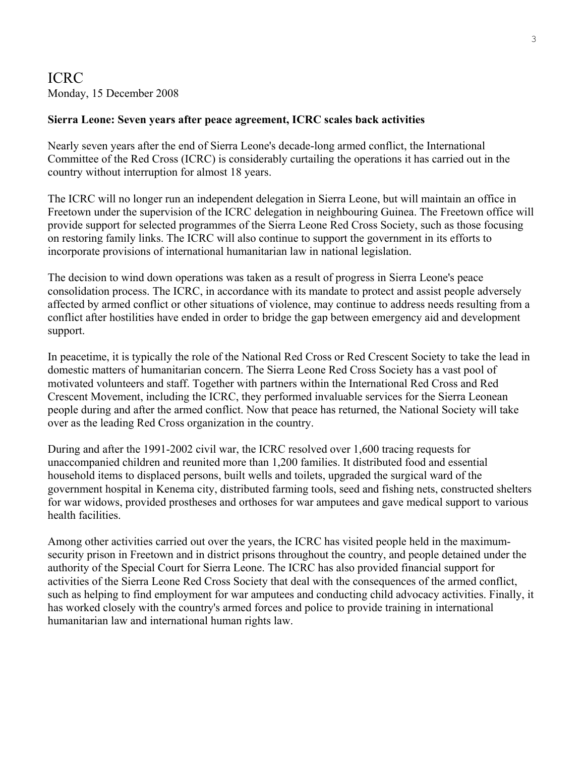## ICRC Monday, 15 December 2008

### **Sierra Leone: Seven years after peace agreement, ICRC scales back activities**

Nearly seven years after the end of Sierra Leone's decade-long armed conflict, the International Committee of the Red Cross (ICRC) is considerably curtailing the operations it has carried out in the country without interruption for almost 18 years.

The ICRC will no longer run an independent delegation in Sierra Leone, but will maintain an office in Freetown under the supervision of the ICRC delegation in neighbouring Guinea. The Freetown office will provide support for selected programmes of the Sierra Leone Red Cross Society, such as those focusing on restoring family links. The ICRC will also continue to support the government in its efforts to incorporate provisions of international humanitarian law in national legislation.

The decision to wind down operations was taken as a result of progress in Sierra Leone's peace consolidation process. The ICRC, in accordance with its mandate to protect and assist people adversely affected by armed conflict or other situations of violence, may continue to address needs resulting from a conflict after hostilities have ended in order to bridge the gap between emergency aid and development support.

In peacetime, it is typically the role of the National Red Cross or Red Crescent Society to take the lead in domestic matters of humanitarian concern. The Sierra Leone Red Cross Society has a vast pool of motivated volunteers and staff. Together with partners within the International Red Cross and Red Crescent Movement, including the ICRC, they performed invaluable services for the Sierra Leonean people during and after the armed conflict. Now that peace has returned, the National Society will take over as the leading Red Cross organization in the country.

During and after the 1991-2002 civil war, the ICRC resolved over 1,600 tracing requests for unaccompanied children and reunited more than 1,200 families. It distributed food and essential household items to displaced persons, built wells and toilets, upgraded the surgical ward of the government hospital in Kenema city, distributed farming tools, seed and fishing nets, constructed shelters for war widows, provided prostheses and orthoses for war amputees and gave medical support to various health facilities.

Among other activities carried out over the years, the ICRC has visited people held in the maximumsecurity prison in Freetown and in district prisons throughout the country, and people detained under the authority of the Special Court for Sierra Leone. The ICRC has also provided financial support for activities of the Sierra Leone Red Cross Society that deal with the consequences of the armed conflict, such as helping to find employment for war amputees and conducting child advocacy activities. Finally, it has worked closely with the country's armed forces and police to provide training in international humanitarian law and international human rights law.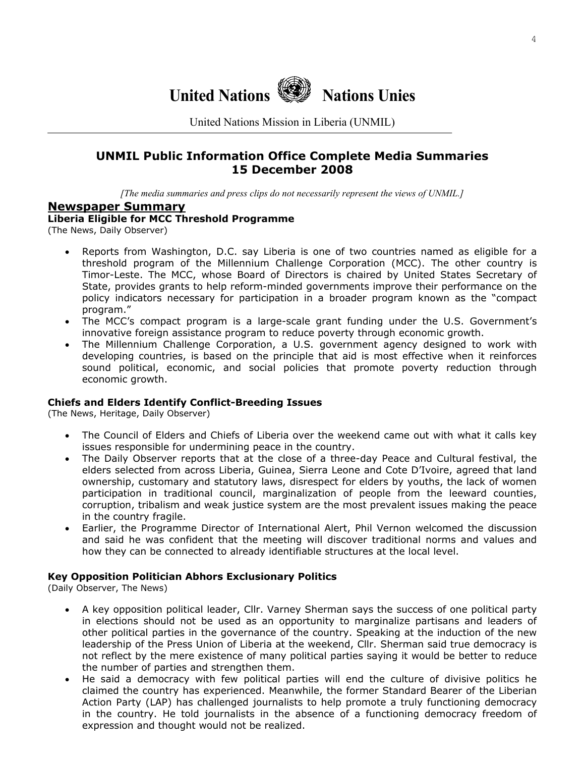

United Nations Mission in Liberia (UNMIL)

## **UNMIL Public Information Office Complete Media Summaries 15 December 2008**

*[The media summaries and press clips do not necessarily represent the views of UNMIL.]*

#### **Newspaper Summary**

**Liberia Eligible for MCC Threshold Programme** 

(The News, Daily Observer)

- Reports from Washington, D.C. say Liberia is one of two countries named as eligible for a threshold program of the Millennium Challenge Corporation (MCC). The other country is Timor-Leste. The MCC, whose Board of Directors is chaired by United States Secretary of State, provides grants to help reform-minded governments improve their performance on the policy indicators necessary for participation in a broader program known as the "compact program."
- The MCC's compact program is a large-scale grant funding under the U.S. Government's innovative foreign assistance program to reduce poverty through economic growth.
- The Millennium Challenge Corporation, a U.S. government agency designed to work with developing countries, is based on the principle that aid is most effective when it reinforces sound political, economic, and social policies that promote poverty reduction through economic growth.

#### **Chiefs and Elders Identify Conflict-Breeding Issues**

(The News, Heritage, Daily Observer)

- The Council of Elders and Chiefs of Liberia over the weekend came out with what it calls key issues responsible for undermining peace in the country.
- The Daily Observer reports that at the close of a three-day Peace and Cultural festival, the elders selected from across Liberia, Guinea, Sierra Leone and Cote D'Ivoire, agreed that land ownership, customary and statutory laws, disrespect for elders by youths, the lack of women participation in traditional council, marginalization of people from the leeward counties, corruption, tribalism and weak justice system are the most prevalent issues making the peace in the country fragile.
- Earlier, the Programme Director of International Alert, Phil Vernon welcomed the discussion and said he was confident that the meeting will discover traditional norms and values and how they can be connected to already identifiable structures at the local level.

#### **Key Opposition Politician Abhors Exclusionary Politics**

(Daily Observer, The News)

- A key opposition political leader, Cllr. Varney Sherman says the success of one political party in elections should not be used as an opportunity to marginalize partisans and leaders of other political parties in the governance of the country. Speaking at the induction of the new leadership of the Press Union of Liberia at the weekend, Cllr. Sherman said true democracy is not reflect by the mere existence of many political parties saying it would be better to reduce the number of parties and strengthen them.
- He said a democracy with few political parties will end the culture of divisive politics he claimed the country has experienced. Meanwhile, the former Standard Bearer of the Liberian Action Party (LAP) has challenged journalists to help promote a truly functioning democracy in the country. He told journalists in the absence of a functioning democracy freedom of expression and thought would not be realized.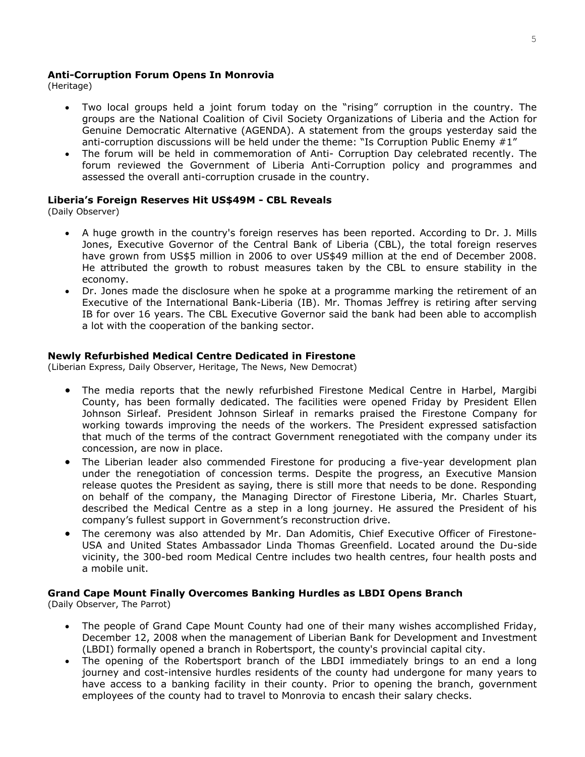#### **Anti-Corruption Forum Opens In Monrovia**

(Heritage)

- Two local groups held a joint forum today on the "rising" corruption in the country. The groups are the National Coalition of Civil Society Organizations of Liberia and the Action for Genuine Democratic Alternative (AGENDA). A statement from the groups yesterday said the anti-corruption discussions will be held under the theme: "Is Corruption Public Enemy #1"
- The forum will be held in commemoration of Anti- Corruption Day celebrated recently. The forum reviewed the Government of Liberia Anti-Corruption policy and programmes and assessed the overall anti-corruption crusade in the country.

#### **Liberia's Foreign Reserves Hit US\$49M - CBL Reveals**

(Daily Observer)

- A huge growth in the country's foreign reserves has been reported. According to Dr. J. Mills Jones, Executive Governor of the Central Bank of Liberia (CBL), the total foreign reserves have grown from US\$5 million in 2006 to over US\$49 million at the end of December 2008. He attributed the growth to robust measures taken by the CBL to ensure stability in the economy.
- Dr. Jones made the disclosure when he spoke at a programme marking the retirement of an Executive of the International Bank-Liberia (IB). Mr. Thomas Jeffrey is retiring after serving IB for over 16 years. The CBL Executive Governor said the bank had been able to accomplish a lot with the cooperation of the banking sector.

#### **Newly Refurbished Medical Centre Dedicated in Firestone**

(Liberian Express, Daily Observer, Heritage, The News, New Democrat)

- The media reports that the newly refurbished Firestone Medical Centre in Harbel, Margibi County, has been formally dedicated. The facilities were opened Friday by President Ellen Johnson Sirleaf. President Johnson Sirleaf in remarks praised the Firestone Company for working towards improving the needs of the workers. The President expressed satisfaction that much of the terms of the contract Government renegotiated with the company under its concession, are now in place.
- The Liberian leader also commended Firestone for producing a five-year development plan under the renegotiation of concession terms. Despite the progress, an Executive Mansion release quotes the President as saying, there is still more that needs to be done. Responding on behalf of the company, the Managing Director of Firestone Liberia, Mr. Charles Stuart, described the Medical Centre as a step in a long journey. He assured the President of his company's fullest support in Government's reconstruction drive.
- The ceremony was also attended by Mr. Dan Adomitis, Chief Executive Officer of Firestone-USA and United States Ambassador Linda Thomas Greenfield. Located around the Du-side vicinity, the 300-bed room Medical Centre includes two health centres, four health posts and a mobile unit.

#### **Grand Cape Mount Finally Overcomes Banking Hurdles as LBDI Opens Branch**

(Daily Observer, The Parrot)

- The people of Grand Cape Mount County had one of their many wishes accomplished Friday, December 12, 2008 when the management of Liberian Bank for Development and Investment (LBDI) formally opened a branch in Robertsport, the county's provincial capital city.
- The opening of the Robertsport branch of the LBDI immediately brings to an end a long journey and cost-intensive hurdles residents of the county had undergone for many years to have access to a banking facility in their county. Prior to opening the branch, government employees of the county had to travel to Monrovia to encash their salary checks.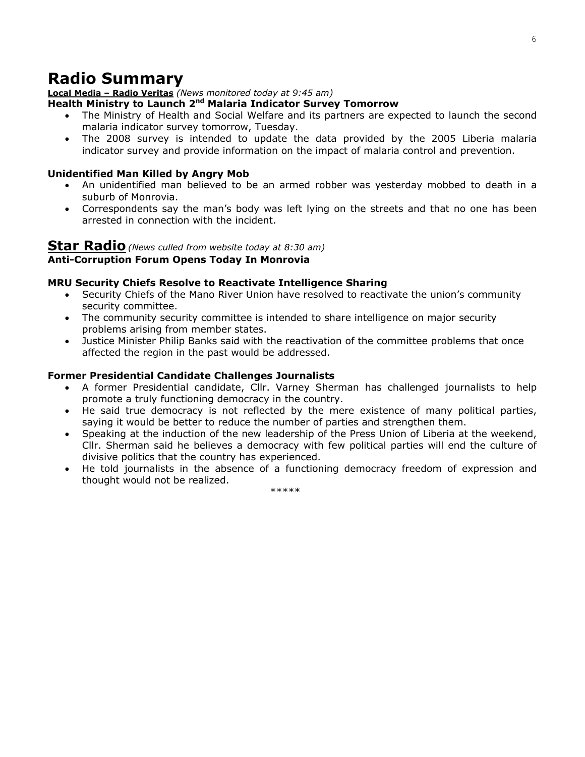## **Radio Summary**

#### **Local Media – Radio Veritas** *(News monitored today at 9:45 am)*

#### **Health Ministry to Launch 2nd Malaria Indicator Survey Tomorrow**

- The Ministry of Health and Social Welfare and its partners are expected to launch the second malaria indicator survey tomorrow, Tuesday.
- The 2008 survey is intended to update the data provided by the 2005 Liberia malaria indicator survey and provide information on the impact of malaria control and prevention.

#### **Unidentified Man Killed by Angry Mob**

- An unidentified man believed to be an armed robber was yesterday mobbed to death in a suburb of Monrovia.
- Correspondents say the man's body was left lying on the streets and that no one has been arrested in connection with the incident.

#### **Star Radio***(News culled from website today at 8:30 am)* **Anti-Corruption Forum Opens Today In Monrovia**

#### **MRU Security Chiefs Resolve to Reactivate Intelligence Sharing**

- Security Chiefs of the Mano River Union have resolved to reactivate the union's community security committee.
- The community security committee is intended to share intelligence on major security problems arising from member states.
- Justice Minister Philip Banks said with the reactivation of the committee problems that once affected the region in the past would be addressed.

#### **Former Presidential Candidate Challenges Journalists**

- A former Presidential candidate, Cllr. Varney Sherman has challenged journalists to help promote a truly functioning democracy in the country.
- He said true democracy is not reflected by the mere existence of many political parties, saying it would be better to reduce the number of parties and strengthen them.
- Speaking at the induction of the new leadership of the Press Union of Liberia at the weekend, Cllr. Sherman said he believes a democracy with few political parties will end the culture of divisive politics that the country has experienced.
- He told journalists in the absence of a functioning democracy freedom of expression and thought would not be realized.

\*\*\*\*\*\*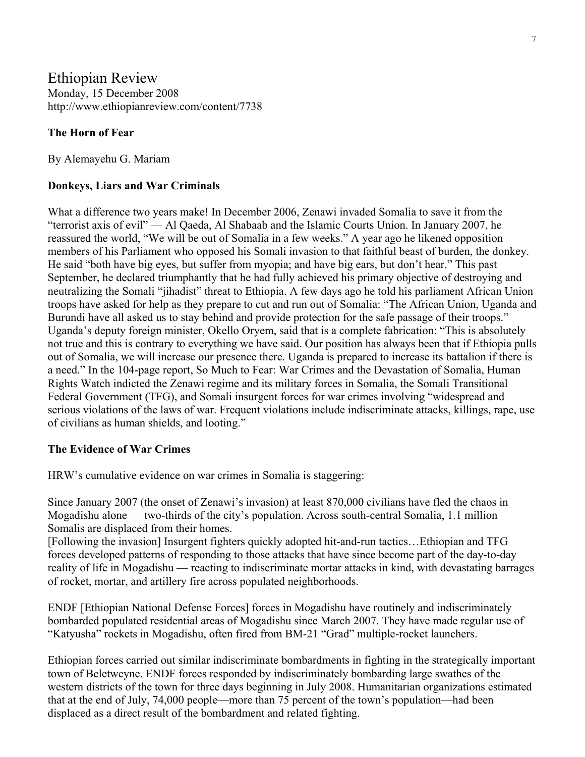## Ethiopian Review Monday, 15 December 2008 http://www.ethiopianreview.com/content/7738

## **The Horn of Fear**

By Alemayehu G. Mariam

### **Donkeys, Liars and War Criminals**

What a difference two years make! In December 2006, Zenawi invaded Somalia to save it from the "terrorist axis of evil" — Al Qaeda, Al Shabaab and the Islamic Courts Union. In January 2007, he reassured the world, "We will be out of Somalia in a few weeks." A year ago he likened opposition members of his Parliament who opposed his Somali invasion to that faithful beast of burden, the donkey. He said "both have big eyes, but suffer from myopia; and have big ears, but don't hear." This past September, he declared triumphantly that he had fully achieved his primary objective of destroying and neutralizing the Somali "jihadist" threat to Ethiopia. A few days ago he told his parliament African Union troops have asked for help as they prepare to cut and run out of Somalia: "The African Union, Uganda and Burundi have all asked us to stay behind and provide protection for the safe passage of their troops." Uganda's deputy foreign minister, Okello Oryem, said that is a complete fabrication: "This is absolutely not true and this is contrary to everything we have said. Our position has always been that if Ethiopia pulls out of Somalia, we will increase our presence there. Uganda is prepared to increase its battalion if there is a need." In the 104-page report, So Much to Fear: War Crimes and the Devastation of Somalia, Human Rights Watch indicted the Zenawi regime and its military forces in Somalia, the Somali Transitional Federal Government (TFG), and Somali insurgent forces for war crimes involving "widespread and serious violations of the laws of war. Frequent violations include indiscriminate attacks, killings, rape, use of civilians as human shields, and looting."

## **The Evidence of War Crimes**

HRW's cumulative evidence on war crimes in Somalia is staggering:

Since January 2007 (the onset of Zenawi's invasion) at least 870,000 civilians have fled the chaos in Mogadishu alone — two-thirds of the city's population. Across south-central Somalia, 1.1 million Somalis are displaced from their homes.

[Following the invasion] Insurgent fighters quickly adopted hit-and-run tactics…Ethiopian and TFG forces developed patterns of responding to those attacks that have since become part of the day-to-day reality of life in Mogadishu — reacting to indiscriminate mortar attacks in kind, with devastating barrages of rocket, mortar, and artillery fire across populated neighborhoods.

ENDF [Ethiopian National Defense Forces] forces in Mogadishu have routinely and indiscriminately bombarded populated residential areas of Mogadishu since March 2007. They have made regular use of "Katyusha" rockets in Mogadishu, often fired from BM-21 "Grad" multiple-rocket launchers.

Ethiopian forces carried out similar indiscriminate bombardments in fighting in the strategically important town of Beletweyne. ENDF forces responded by indiscriminately bombarding large swathes of the western districts of the town for three days beginning in July 2008. Humanitarian organizations estimated that at the end of July, 74,000 people—more than 75 percent of the town's population—had been displaced as a direct result of the bombardment and related fighting.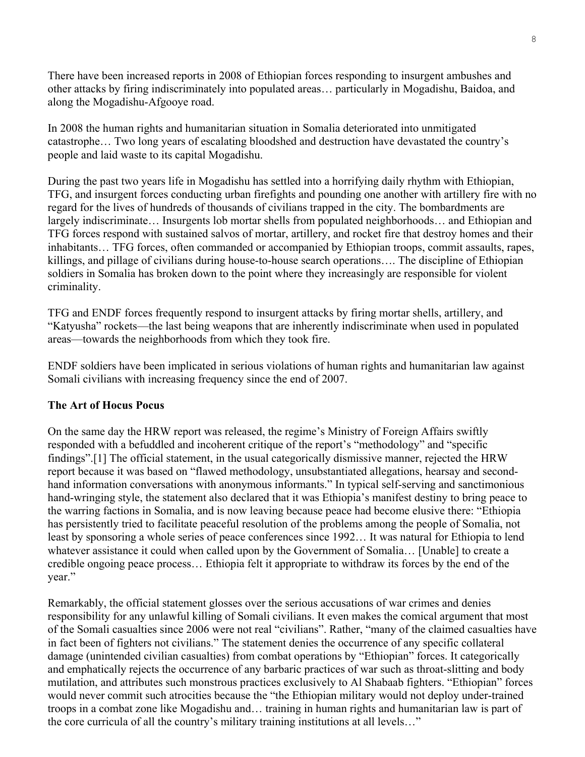There have been increased reports in 2008 of Ethiopian forces responding to insurgent ambushes and other attacks by firing indiscriminately into populated areas… particularly in Mogadishu, Baidoa, and along the Mogadishu-Afgooye road.

In 2008 the human rights and humanitarian situation in Somalia deteriorated into unmitigated catastrophe… Two long years of escalating bloodshed and destruction have devastated the country's people and laid waste to its capital Mogadishu.

During the past two years life in Mogadishu has settled into a horrifying daily rhythm with Ethiopian, TFG, and insurgent forces conducting urban firefights and pounding one another with artillery fire with no regard for the lives of hundreds of thousands of civilians trapped in the city. The bombardments are largely indiscriminate… Insurgents lob mortar shells from populated neighborhoods… and Ethiopian and TFG forces respond with sustained salvos of mortar, artillery, and rocket fire that destroy homes and their inhabitants… TFG forces, often commanded or accompanied by Ethiopian troops, commit assaults, rapes, killings, and pillage of civilians during house-to-house search operations…. The discipline of Ethiopian soldiers in Somalia has broken down to the point where they increasingly are responsible for violent criminality.

TFG and ENDF forces frequently respond to insurgent attacks by firing mortar shells, artillery, and "Katyusha" rockets—the last being weapons that are inherently indiscriminate when used in populated areas—towards the neighborhoods from which they took fire.

ENDF soldiers have been implicated in serious violations of human rights and humanitarian law against Somali civilians with increasing frequency since the end of 2007.

## **The Art of Hocus Pocus**

On the same day the HRW report was released, the regime's Ministry of Foreign Affairs swiftly responded with a befuddled and incoherent critique of the report's "methodology" and "specific findings".[1] The official statement, in the usual categorically dismissive manner, rejected the HRW report because it was based on "flawed methodology, unsubstantiated allegations, hearsay and secondhand information conversations with anonymous informants." In typical self-serving and sanctimonious hand-wringing style, the statement also declared that it was Ethiopia's manifest destiny to bring peace to the warring factions in Somalia, and is now leaving because peace had become elusive there: "Ethiopia has persistently tried to facilitate peaceful resolution of the problems among the people of Somalia, not least by sponsoring a whole series of peace conferences since 1992… It was natural for Ethiopia to lend whatever assistance it could when called upon by the Government of Somalia… [Unable] to create a credible ongoing peace process… Ethiopia felt it appropriate to withdraw its forces by the end of the year."

Remarkably, the official statement glosses over the serious accusations of war crimes and denies responsibility for any unlawful killing of Somali civilians. It even makes the comical argument that most of the Somali casualties since 2006 were not real "civilians". Rather, "many of the claimed casualties have in fact been of fighters not civilians." The statement denies the occurrence of any specific collateral damage (unintended civilian casualties) from combat operations by "Ethiopian" forces. It categorically and emphatically rejects the occurrence of any barbaric practices of war such as throat-slitting and body mutilation, and attributes such monstrous practices exclusively to Al Shabaab fighters. "Ethiopian" forces would never commit such atrocities because the "the Ethiopian military would not deploy under-trained troops in a combat zone like Mogadishu and… training in human rights and humanitarian law is part of the core curricula of all the country's military training institutions at all levels…"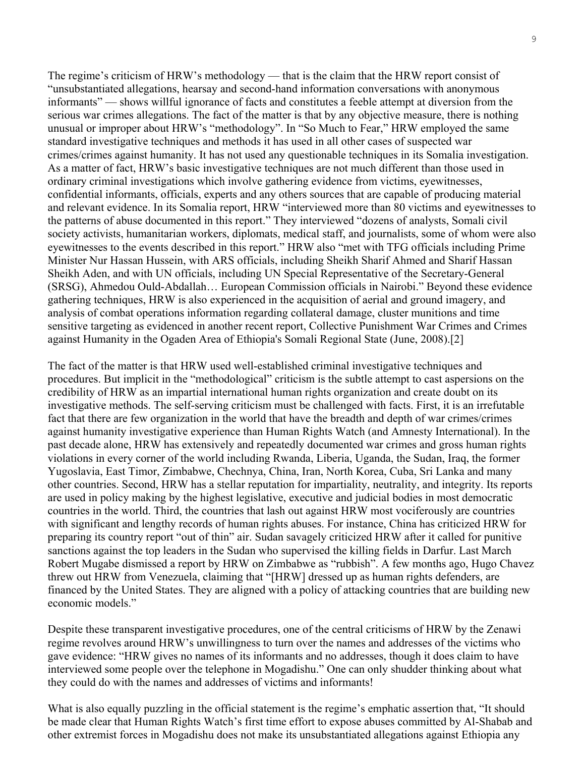The regime's criticism of HRW's methodology — that is the claim that the HRW report consist of "unsubstantiated allegations, hearsay and second-hand information conversations with anonymous informants" — shows willful ignorance of facts and constitutes a feeble attempt at diversion from the serious war crimes allegations. The fact of the matter is that by any objective measure, there is nothing unusual or improper about HRW's "methodology". In "So Much to Fear," HRW employed the same standard investigative techniques and methods it has used in all other cases of suspected war crimes/crimes against humanity. It has not used any questionable techniques in its Somalia investigation. As a matter of fact, HRW's basic investigative techniques are not much different than those used in ordinary criminal investigations which involve gathering evidence from victims, eyewitnesses, confidential informants, officials, experts and any others sources that are capable of producing material and relevant evidence. In its Somalia report, HRW "interviewed more than 80 victims and eyewitnesses to the patterns of abuse documented in this report." They interviewed "dozens of analysts, Somali civil society activists, humanitarian workers, diplomats, medical staff, and journalists, some of whom were also eyewitnesses to the events described in this report." HRW also "met with TFG officials including Prime Minister Nur Hassan Hussein, with ARS officials, including Sheikh Sharif Ahmed and Sharif Hassan Sheikh Aden, and with UN officials, including UN Special Representative of the Secretary-General (SRSG), Ahmedou Ould-Abdallah… European Commission officials in Nairobi." Beyond these evidence gathering techniques, HRW is also experienced in the acquisition of aerial and ground imagery, and analysis of combat operations information regarding collateral damage, cluster munitions and time sensitive targeting as evidenced in another recent report, Collective Punishment War Crimes and Crimes against Humanity in the Ogaden Area of Ethiopia's Somali Regional State (June, 2008).[2]

The fact of the matter is that HRW used well-established criminal investigative techniques and procedures. But implicit in the "methodological" criticism is the subtle attempt to cast aspersions on the credibility of HRW as an impartial international human rights organization and create doubt on its investigative methods. The self-serving criticism must be challenged with facts. First, it is an irrefutable fact that there are few organization in the world that have the breadth and depth of war crimes/crimes against humanity investigative experience than Human Rights Watch (and Amnesty International). In the past decade alone, HRW has extensively and repeatedly documented war crimes and gross human rights violations in every corner of the world including Rwanda, Liberia, Uganda, the Sudan, Iraq, the former Yugoslavia, East Timor, Zimbabwe, Chechnya, China, Iran, North Korea, Cuba, Sri Lanka and many other countries. Second, HRW has a stellar reputation for impartiality, neutrality, and integrity. Its reports are used in policy making by the highest legislative, executive and judicial bodies in most democratic countries in the world. Third, the countries that lash out against HRW most vociferously are countries with significant and lengthy records of human rights abuses. For instance, China has criticized HRW for preparing its country report "out of thin" air. Sudan savagely criticized HRW after it called for punitive sanctions against the top leaders in the Sudan who supervised the killing fields in Darfur. Last March Robert Mugabe dismissed a report by HRW on Zimbabwe as "rubbish". A few months ago, Hugo Chavez threw out HRW from Venezuela, claiming that "[HRW] dressed up as human rights defenders, are financed by the United States. They are aligned with a policy of attacking countries that are building new economic models."

Despite these transparent investigative procedures, one of the central criticisms of HRW by the Zenawi regime revolves around HRW's unwillingness to turn over the names and addresses of the victims who gave evidence: "HRW gives no names of its informants and no addresses, though it does claim to have interviewed some people over the telephone in Mogadishu." One can only shudder thinking about what they could do with the names and addresses of victims and informants!

What is also equally puzzling in the official statement is the regime's emphatic assertion that, "It should be made clear that Human Rights Watch's first time effort to expose abuses committed by Al-Shabab and other extremist forces in Mogadishu does not make its unsubstantiated allegations against Ethiopia any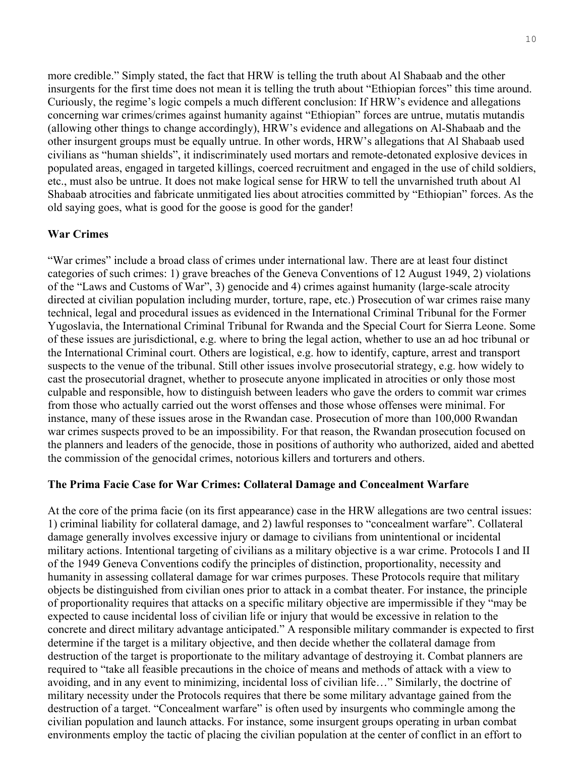more credible." Simply stated, the fact that HRW is telling the truth about Al Shabaab and the other insurgents for the first time does not mean it is telling the truth about "Ethiopian forces" this time around. Curiously, the regime's logic compels a much different conclusion: If HRW's evidence and allegations concerning war crimes/crimes against humanity against "Ethiopian" forces are untrue, mutatis mutandis (allowing other things to change accordingly), HRW's evidence and allegations on Al-Shabaab and the other insurgent groups must be equally untrue. In other words, HRW's allegations that Al Shabaab used civilians as "human shields", it indiscriminately used mortars and remote-detonated explosive devices in populated areas, engaged in targeted killings, coerced recruitment and engaged in the use of child soldiers, etc., must also be untrue. It does not make logical sense for HRW to tell the unvarnished truth about Al Shabaab atrocities and fabricate unmitigated lies about atrocities committed by "Ethiopian" forces. As the old saying goes, what is good for the goose is good for the gander!

## **War Crimes**

"War crimes" include a broad class of crimes under international law. There are at least four distinct categories of such crimes: 1) grave breaches of the Geneva Conventions of 12 August 1949, 2) violations of the "Laws and Customs of War", 3) genocide and 4) crimes against humanity (large-scale atrocity directed at civilian population including murder, torture, rape, etc.) Prosecution of war crimes raise many technical, legal and procedural issues as evidenced in the International Criminal Tribunal for the Former Yugoslavia, the International Criminal Tribunal for Rwanda and the Special Court for Sierra Leone. Some of these issues are jurisdictional, e.g. where to bring the legal action, whether to use an ad hoc tribunal or the International Criminal court. Others are logistical, e.g. how to identify, capture, arrest and transport suspects to the venue of the tribunal. Still other issues involve prosecutorial strategy, e.g. how widely to cast the prosecutorial dragnet, whether to prosecute anyone implicated in atrocities or only those most culpable and responsible, how to distinguish between leaders who gave the orders to commit war crimes from those who actually carried out the worst offenses and those whose offenses were minimal. For instance, many of these issues arose in the Rwandan case. Prosecution of more than 100,000 Rwandan war crimes suspects proved to be an impossibility. For that reason, the Rwandan prosecution focused on the planners and leaders of the genocide, those in positions of authority who authorized, aided and abetted the commission of the genocidal crimes, notorious killers and torturers and others.

## **The Prima Facie Case for War Crimes: Collateral Damage and Concealment Warfare**

At the core of the prima facie (on its first appearance) case in the HRW allegations are two central issues: 1) criminal liability for collateral damage, and 2) lawful responses to "concealment warfare". Collateral damage generally involves excessive injury or damage to civilians from unintentional or incidental military actions. Intentional targeting of civilians as a military objective is a war crime. Protocols I and II of the 1949 Geneva Conventions codify the principles of distinction, proportionality, necessity and humanity in assessing collateral damage for war crimes purposes. These Protocols require that military objects be distinguished from civilian ones prior to attack in a combat theater. For instance, the principle of proportionality requires that attacks on a specific military objective are impermissible if they "may be expected to cause incidental loss of civilian life or injury that would be excessive in relation to the concrete and direct military advantage anticipated." A responsible military commander is expected to first determine if the target is a military objective, and then decide whether the collateral damage from destruction of the target is proportionate to the military advantage of destroying it. Combat planners are required to "take all feasible precautions in the choice of means and methods of attack with a view to avoiding, and in any event to minimizing, incidental loss of civilian life…" Similarly, the doctrine of military necessity under the Protocols requires that there be some military advantage gained from the destruction of a target. "Concealment warfare" is often used by insurgents who commingle among the civilian population and launch attacks. For instance, some insurgent groups operating in urban combat environments employ the tactic of placing the civilian population at the center of conflict in an effort to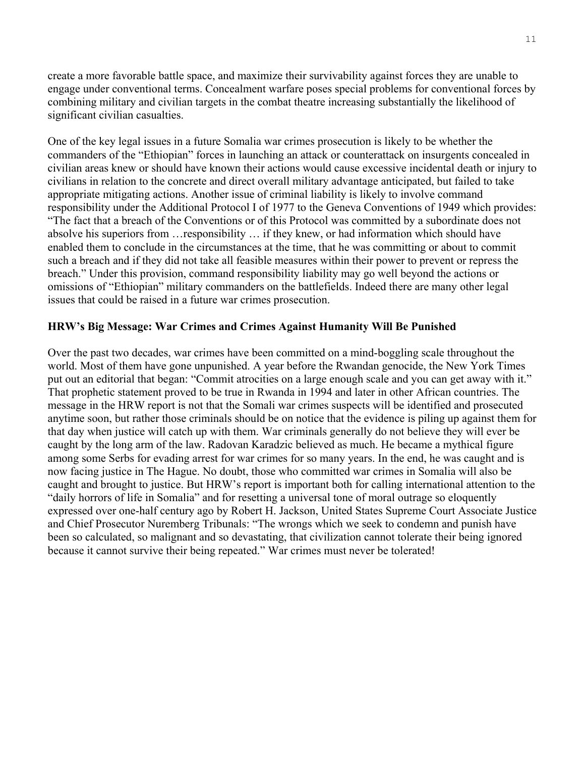create a more favorable battle space, and maximize their survivability against forces they are unable to engage under conventional terms. Concealment warfare poses special problems for conventional forces by combining military and civilian targets in the combat theatre increasing substantially the likelihood of significant civilian casualties.

One of the key legal issues in a future Somalia war crimes prosecution is likely to be whether the commanders of the "Ethiopian" forces in launching an attack or counterattack on insurgents concealed in civilian areas knew or should have known their actions would cause excessive incidental death or injury to civilians in relation to the concrete and direct overall military advantage anticipated, but failed to take appropriate mitigating actions. Another issue of criminal liability is likely to involve command responsibility under the Additional Protocol I of 1977 to the Geneva Conventions of 1949 which provides: "The fact that a breach of the Conventions or of this Protocol was committed by a subordinate does not absolve his superiors from …responsibility … if they knew, or had information which should have enabled them to conclude in the circumstances at the time, that he was committing or about to commit such a breach and if they did not take all feasible measures within their power to prevent or repress the breach." Under this provision, command responsibility liability may go well beyond the actions or omissions of "Ethiopian" military commanders on the battlefields. Indeed there are many other legal issues that could be raised in a future war crimes prosecution.

## **HRW's Big Message: War Crimes and Crimes Against Humanity Will Be Punished**

Over the past two decades, war crimes have been committed on a mind-boggling scale throughout the world. Most of them have gone unpunished. A year before the Rwandan genocide, the New York Times put out an editorial that began: "Commit atrocities on a large enough scale and you can get away with it." That prophetic statement proved to be true in Rwanda in 1994 and later in other African countries. The message in the HRW report is not that the Somali war crimes suspects will be identified and prosecuted anytime soon, but rather those criminals should be on notice that the evidence is piling up against them for that day when justice will catch up with them. War criminals generally do not believe they will ever be caught by the long arm of the law. Radovan Karadzic believed as much. He became a mythical figure among some Serbs for evading arrest for war crimes for so many years. In the end, he was caught and is now facing justice in The Hague. No doubt, those who committed war crimes in Somalia will also be caught and brought to justice. But HRW's report is important both for calling international attention to the "daily horrors of life in Somalia" and for resetting a universal tone of moral outrage so eloquently expressed over one-half century ago by Robert H. Jackson, United States Supreme Court Associate Justice and Chief Prosecutor Nuremberg Tribunals: "The wrongs which we seek to condemn and punish have been so calculated, so malignant and so devastating, that civilization cannot tolerate their being ignored because it cannot survive their being repeated." War crimes must never be tolerated!